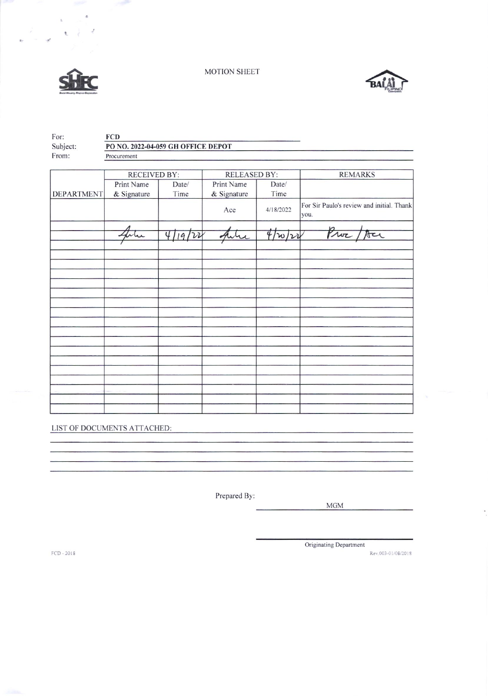MOTION SHEET



 $\mathbf{t}$ 

 $\frac{1}{2} \left( \frac{1}{2} \right)$ 



| For:              | <b>FCD</b>                         |                         |                     |           |                                                   |  |  |  |
|-------------------|------------------------------------|-------------------------|---------------------|-----------|---------------------------------------------------|--|--|--|
| Subject:          | PO NO. 2022-04-059 GH OFFICE DEPOT |                         |                     |           |                                                   |  |  |  |
| From:             | Procurement                        |                         |                     |           |                                                   |  |  |  |
|                   |                                    |                         |                     |           |                                                   |  |  |  |
|                   | <b>RECEIVED BY:</b>                |                         | <b>RELEASED BY:</b> |           | <b>REMARKS</b>                                    |  |  |  |
|                   | Print Name                         | Date/                   | Print Name          | Date/     |                                                   |  |  |  |
| <b>DEPARTMENT</b> | & Signature                        | Time                    | & Signature         | Time      |                                                   |  |  |  |
|                   |                                    |                         | Ace                 | 4/18/2022 | For Sir Paulo's review and initial. Thank<br>you. |  |  |  |
|                   |                                    |                         |                     |           |                                                   |  |  |  |
|                   |                                    | $\overline{4}$<br>19/22 |                     | 4/w/v     | Proz                                              |  |  |  |
|                   |                                    |                         |                     |           |                                                   |  |  |  |
|                   |                                    |                         |                     |           |                                                   |  |  |  |
|                   |                                    |                         |                     |           |                                                   |  |  |  |
|                   |                                    |                         |                     |           |                                                   |  |  |  |
|                   |                                    |                         |                     |           |                                                   |  |  |  |
|                   |                                    |                         |                     |           |                                                   |  |  |  |
|                   |                                    |                         |                     |           |                                                   |  |  |  |
|                   |                                    |                         |                     |           |                                                   |  |  |  |
|                   |                                    |                         |                     |           |                                                   |  |  |  |
|                   |                                    |                         |                     |           |                                                   |  |  |  |
|                   |                                    |                         |                     |           |                                                   |  |  |  |
|                   |                                    |                         |                     |           |                                                   |  |  |  |
|                   |                                    |                         |                     |           |                                                   |  |  |  |
|                   |                                    |                         |                     |           |                                                   |  |  |  |
|                   |                                    |                         |                     |           |                                                   |  |  |  |
|                   |                                    |                         |                     |           |                                                   |  |  |  |
|                   |                                    |                         |                     |           |                                                   |  |  |  |

LIST OF DOCUMENTS ATTACHED:

Prepared By:

 $\rm{MGM}$ 

Originating Department

Rev.003-01/08/2018

FCD - 2018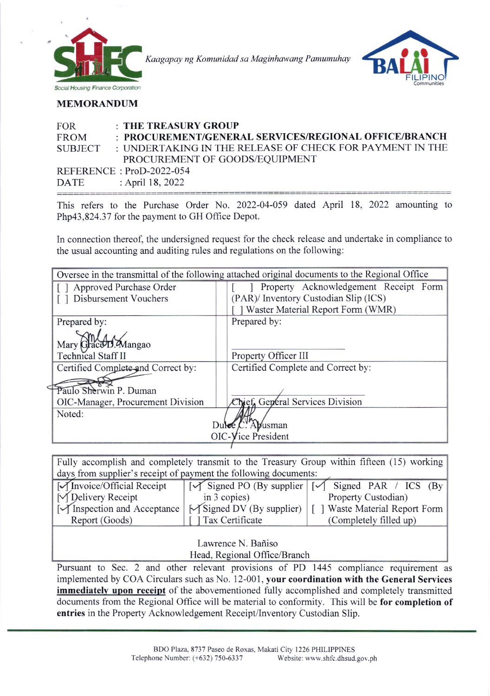

Kaagapay ng Komunidad sa Maginhawang Pamumuhay



## MEMORANDUM

| <b>FOR</b>  | : THE TREASURY GROUP                                     |
|-------------|----------------------------------------------------------|
| <b>FROM</b> | : PROCUREMENT/GENERAL SERVICES/REGIONAL OFFICE/BRANCH    |
| SUBJECT     | : UNDERTAKING IN THE RELEASE OF CHECK FOR PAYMENT IN THE |
|             | PROCUREMENT OF GOODS/EQUIPMENT                           |
|             | REFERENCE: ProD-2022-054                                 |
| DATE        | : April 18, 2022                                         |

This refers to the Purchase Order No. 2022-04-059 dated April 18, 2022 amounting to Php43,824.37 for the payment to GH Office Depot.

In connection thereof, the undersigned request for the check release and undertake in compliance to the usual accounting and auditing rules and regulations on the following:

| Oversee in the transmittal of the following attached original documents to the Regional Office |                                       |  |  |  |  |  |
|------------------------------------------------------------------------------------------------|---------------------------------------|--|--|--|--|--|
| Approved Purchase Order                                                                        | Property Acknowledgement Receipt Form |  |  |  |  |  |
| Disbursement Vouchers                                                                          | (PAR)/ Inventory Custodian Slip (ICS) |  |  |  |  |  |
|                                                                                                | Waster Material Report Form (WMR)     |  |  |  |  |  |
| Prepared by:                                                                                   | Prepared by:                          |  |  |  |  |  |
|                                                                                                |                                       |  |  |  |  |  |
| Mary Grace D. Mangao                                                                           |                                       |  |  |  |  |  |
| <b>Technical Staff II</b>                                                                      | Property Officer III                  |  |  |  |  |  |
| Certified Complete and Correct by:                                                             | Certified Complete and Correct by:    |  |  |  |  |  |
|                                                                                                |                                       |  |  |  |  |  |
| Paulo Sherwin P. Duman                                                                         |                                       |  |  |  |  |  |
| OIC-Manager, Procurement Division                                                              | Chief, General Services Division      |  |  |  |  |  |
| Noted:                                                                                         |                                       |  |  |  |  |  |
| Abusman<br>Dulee,                                                                              |                                       |  |  |  |  |  |
| $OIC-Yice President$                                                                           |                                       |  |  |  |  |  |
|                                                                                                |                                       |  |  |  |  |  |

Fully accomplish and completely transmit to the Treasury Group within fifteen (15) working days from supplier's receipt of payment the following documents:

| $\sqrt{\text{Invoice/Official Receipt}}$            |                                    | $\sqrt{\frac{1}{5}}$ Signed PO (By supplier $\sqrt{\frac{1}{5}}$ Signed PAR / ICS (By |  |  |  |
|-----------------------------------------------------|------------------------------------|---------------------------------------------------------------------------------------|--|--|--|
| M Delivery Receipt                                  | in $3$ copies)                     | Property Custodian)                                                                   |  |  |  |
| $\lceil \sqrt{\text{Inspection}} \rceil$ Acceptance | <b>I</b> M Signed DV (By supplier) | Waste Material Report Form                                                            |  |  |  |
| Report (Goods)                                      | [ ] Tax Certificate                | (Completely filled up)                                                                |  |  |  |
|                                                     |                                    |                                                                                       |  |  |  |

Lawrence N. Bañiso Head, Regional Office/Branch

Pursuant to Sec. 2 and other relevant provisions of PD 1445 compliance requirement as implemented by COA Circulars such as No. 12-001, your coordination with the General Services immediately upon receipt of the abovementioned fully accomplished and completely transmitted documents from the Regional Office will be material to conformity. This will be for completion of entries in the Property Acknowledgement Receipl/lnventory Custodian Slip.